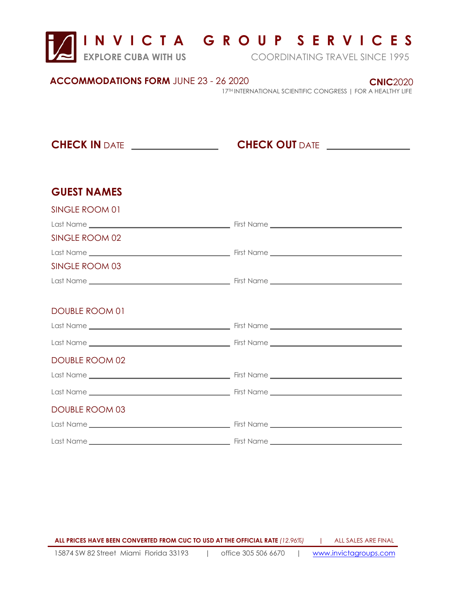

## **I N V I C T A G R O U P S E R V I C E S**

**EXPLORE CUBA WITH US** COORDINATING TRAVEL SINCE 1995

 **CNIC**2020

**ACCOMMODATIONS FORM** JUNE 23 - 26 2020

17 TH INTERNATIONAL SCIENTIFIC CONGRESS | FOR A HEALTHY LIFE

**CHECK IN** DATE *\_\_\_\_\_\_\_\_\_\_\_\_\_\_\_\_\_***\_\_\_\_\_\_\_\_\_\_\_\_CHECK OUT** DATE

## **GUEST NAMES**

| SINGLE ROOM 01        |  |
|-----------------------|--|
|                       |  |
| SINGLE ROOM 02        |  |
|                       |  |
| SINGLE ROOM 03        |  |
|                       |  |
|                       |  |
| DOUBLE ROOM 01        |  |
|                       |  |
|                       |  |
| <b>DOUBLE ROOM 02</b> |  |
|                       |  |
|                       |  |
| <b>DOUBLE ROOM 03</b> |  |
|                       |  |
|                       |  |

15874 SW 82 Street Miami Florida 33193 | office 305 506 6670 | www.invictagroups.com **ALL PRICES HAVE BEEN CONVERTED FROM CUC TO USD AT THE OFFICIAL RATE** *(12.96%)* **|** ALL SALES ARE FINAL